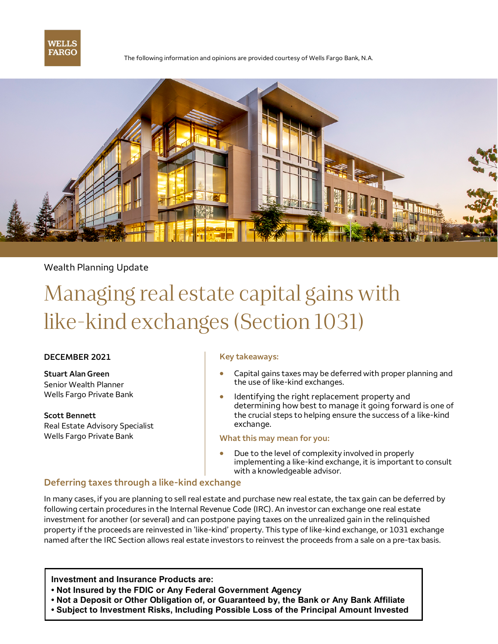

The following information and opinions are provided courtesy of Wells Fargo Bank, N.A.



## Wealth Planning Update

# Managing real estate capital gains with like-kind exchanges (Section 1031)

#### **DECEMBER 2021**

**Stuart Alan Green**  Senior Wealth Planner Wells Fargo Private Bank

**Scott Bennett** Real Estate Advisory Specialist Wells Fargo Private Bank

#### **Key takeaways:**

- Capital gains taxes may be deferred with proper planning and the use of like-kind exchanges.
- Identifying the right replacement property and determining how best to manage it going forward is one of the crucial steps to helping ensure the success of a like-kind exchange.

#### **What this may mean for you:**

Due to the level of complexity involved in properly implementing a like-kind exchange, it is important to consult with a knowledgeable advisor.

## **Deferring taxes through a like-kind exchange**

In many cases, if you are planning to sell real estate and purchase new real estate, the tax gain can be deferred by following certain procedures in the Internal Revenue Code (IRC). An investor can exchange one real estate investment for another (or several) and can postpone paying taxes on the unrealized gain in the relinquished property if the proceeds are reinvested in 'like-kind' property. This type of like-kind exchange, or 1031 exchange named after the IRC Section allows real estate investors to reinvest the proceeds from a sale on a pre-tax basis.

**Investment and Insurance Products are:**

- **• Not Insured by the FDIC or Any Federal Government Agency**
- **• Not a Deposit or Other Obligation of, or Guaranteed by, the Bank or Any Bank Affiliate**
- **• Subject to Investment Risks, Including Possible Loss of the Principal Amount Invested**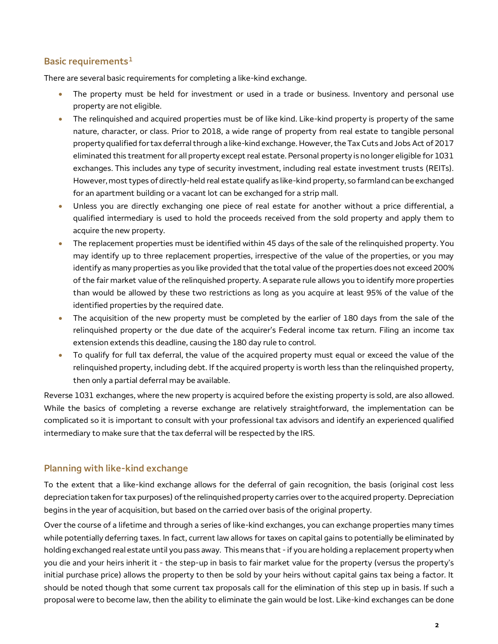## **Basic requirements1**

There are several basic requirements for completing a like-kind exchange.

- The property must be held for investment or used in a trade or business. Inventory and personal use property are not eligible.
- The relinquished and acquired properties must be of like kind. Like-kind property is property of the same nature, character, or class. Prior to 2018, a wide range of property from real estate to tangible personal property qualified for tax deferral through a like-kind exchange. However, the Tax Cuts and Jobs Act of 2017 eliminated this treatment for all property except real estate. Personal property is no longer eligible for 1031 exchanges. This includes any type of security investment, including real estate investment trusts (REITs). However, most types of directly-held real estate qualify as like-kind property, so farmland can be exchanged for an apartment building or a vacant lot can be exchanged for a strip mall.
- Unless you are directly exchanging one piece of real estate for another without a price differential, a qualified intermediary is used to hold the proceeds received from the sold property and apply them to acquire the new property.
- The replacement properties must be identified within 45 days of the sale of the relinquished property. You may identify up to three replacement properties, irrespective of the value of the properties, or you may identify as many properties as you like provided that the total value of the properties does not exceed 200% of the fair market value of the relinquished property. A separate rule allows you to identify more properties than would be allowed by these two restrictions as long as you acquire at least 95% of the value of the identified properties by the required date.
- The acquisition of the new property must be completed by the earlier of 180 days from the sale of the relinquished property or the due date of the acquirer's Federal income tax return. Filing an income tax extension extends this deadline, causing the 180 day rule to control.
- To qualify for full tax deferral, the value of the acquired property must equal or exceed the value of the relinquished property, including debt. If the acquired property is worth less than the relinquished property, then only a partial deferral may be available.

Reverse 1031 exchanges, where the new property is acquired before the existing property is sold, are also allowed. While the basics of completing a reverse exchange are relatively straightforward, the implementation can be complicated so it is important to consult with your professional tax advisors and identify an experienced qualified intermediary to make sure that the tax deferral will be respected by the IRS.

## **Planning with like-kind exchange**

To the extent that a like-kind exchange allows for the deferral of gain recognition, the basis (original cost less depreciation taken for tax purposes) of the relinquished property carries over to the acquired property. Depreciation begins in the year of acquisition, but based on the carried over basis of the original property.

Over the course of a lifetime and through a series of like-kind exchanges, you can exchange properties many times while potentially deferring taxes. In fact, current law allows for taxes on capital gains to potentially be eliminated by holding exchanged real estate until you pass away. This means that - if you are holding a replacement property when you die and your heirs inherit it - the step-up in basis to fair market value for the property (versus the property's initial purchase price) allows the property to then be sold by your heirs without capital gains tax being a factor. It should be noted though that some current tax proposals call for the elimination of this step up in basis. If such a proposal were to become law, then the ability to eliminate the gain would be lost. Like-kind exchanges can be done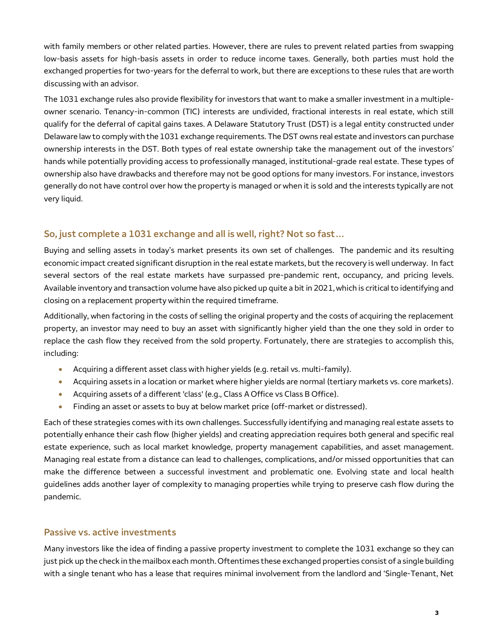with family members or other related parties. However, there are rules to prevent related parties from swapping low-basis assets for high-basis assets in order to reduce income taxes. Generally, both parties must hold the exchanged properties for two-years for the deferral to work, but there are exceptions to these rules that are worth discussing with an advisor.

The 1031 exchange rules also provide flexibility for investors that want to make a smaller investment in a multipleowner scenario. Tenancy-in-common (TIC) interests are undivided, fractional interests in real estate, which still qualify for the deferral of capital gains taxes. A Delaware Statutory Trust (DST) is a legal entity constructed under Delaware law to comply with the 1031 exchange requirements. The DST owns real estate and investors can purchase ownership interests in the DST. Both types of real estate ownership take the management out of the investors' hands while potentially providing access to professionally managed, institutional-grade real estate. These types of ownership also have drawbacks and therefore may not be good options for many investors. For instance, investors generally do not have control over how the property is managed or when it is sold and the interests typically are not very liquid.

## **So, just complete a 1031 exchange and all is well, right? Not so fast…**

Buying and selling assets in today's market presents its own set of challenges. The pandemic and its resulting economic impact created significant disruption in the real estate markets, but the recovery is well underway. In fact several sectors of the real estate markets have surpassed pre-pandemic rent, occupancy, and pricing levels. Available inventory and transaction volume have also picked up quite a bit in 2021, which is critical to identifying and closing on a replacement property within the required timeframe.

Additionally, when factoring in the costs of selling the original property and the costs of acquiring the replacement property, an investor may need to buy an asset with significantly higher yield than the one they sold in order to replace the cash flow they received from the sold property. Fortunately, there are strategies to accomplish this, including:

- Acquiring a different asset class with higher yields (e.g. retail vs. multi-family).
- Acquiring assets in a location or market where higher yields are normal (tertiary markets vs. core markets).
- Acquiring assets of a different 'class' (e.g., Class A Office vs Class B Office).
- Finding an asset or assets to buy at below market price (off-market or distressed).

Each of these strategies comes with its own challenges. Successfully identifying and managing real estate assets to potentially enhance their cash flow (higher yields) and creating appreciation requires both general and specific real estate experience, such as local market knowledge, property management capabilities, and asset management. Managing real estate from a distance can lead to challenges, complications, and/or missed opportunities that can make the difference between a successful investment and problematic one. Evolving state and local health guidelines adds another layer of complexity to managing properties while trying to preserve cash flow during the pandemic.

#### **Passive vs. active investments**

Many investors like the idea of finding a passive property investment to complete the 1031 exchange so they can just pick up the check in the mailbox each month. Oftentimes these exchanged properties consist of a single building with a single tenant who has a lease that requires minimal involvement from the landlord and 'Single-Tenant, Net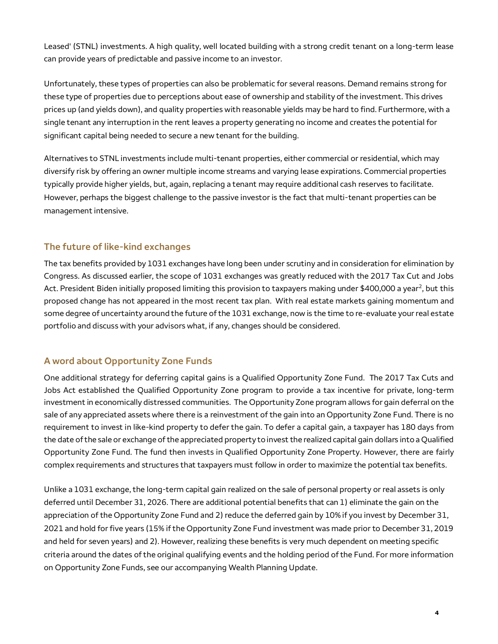Leased' (STNL) investments. A high quality, well located building with a strong credit tenant on a long-term lease can provide years of predictable and passive income to an investor.

Unfortunately, these types of properties can also be problematic for several reasons. Demand remains strong for these type of properties due to perceptions about ease of ownership and stability of the investment. This drives prices up (and yields down), and quality properties with reasonable yields may be hard to find. Furthermore, with a single tenant any interruption in the rent leaves a property generating no income and creates the potential for significant capital being needed to secure a new tenant for the building.

Alternatives to STNL investments include multi-tenant properties, either commercial or residential, which may diversify risk by offering an owner multiple income streams and varying lease expirations. Commercial properties typically provide higher yields, but, again, replacing a tenant may require additional cash reserves to facilitate. However, perhaps the biggest challenge to the passive investor is the fact that multi-tenant properties can be management intensive.

## **The future of like-kind exchanges**

The tax benefits provided by 1031 exchanges have long been under scrutiny and in consideration for elimination by Congress. As discussed earlier, the scope of 1031 exchanges was greatly reduced with the 2017 Tax Cut and Jobs Act. President Biden initially proposed limiting this provision to taxpayers making under \$400,000 a year<sup>2</sup>, but this proposed change has not appeared in the most recent tax plan. With real estate markets gaining momentum and some degree of uncertainty around the future of the 1031 exchange, now is the time to re-evaluate your real estate portfolio and discuss with your advisors what, if any, changes should be considered.

# **A word about Opportunity Zone Funds**

One additional strategy for deferring capital gains is a Qualified Opportunity Zone Fund. The 2017 Tax Cuts and Jobs Act established the Qualified Opportunity Zone program to provide a tax incentive for private, long-term investment in economically distressed communities. The Opportunity Zone program allows for gain deferral on the sale of any appreciated assets where there is a reinvestment of the gain into an Opportunity Zone Fund. There is no requirement to invest in like-kind property to defer the gain. To defer a capital gain, a taxpayer has 180 days from the date of the sale or exchange of the appreciated property to invest the realized capital gain dollars into a Qualified Opportunity Zone Fund. The fund then invests in Qualified Opportunity Zone Property. However, there are fairly complex requirements and structures that taxpayers must follow in order to maximize the potential tax benefits.

Unlike a 1031 exchange, the long-term capital gain realized on the sale of personal property or real assets is only deferred until December 31, 2026. There are additional potential benefits that can 1) eliminate the gain on the appreciation of the Opportunity Zone Fund and 2) reduce the deferred gain by 10% if you invest by December 31, 2021 and hold for five years (15% if the Opportunity Zone Fund investment was made prior to December 31, 2019 and held for seven years) and 2). However, realizing these benefits is very much dependent on meeting specific criteria around the dates of the original qualifying events and the holding period of the Fund. For more information on Opportunity Zone Funds, see our accompanying Wealth Planning Update.